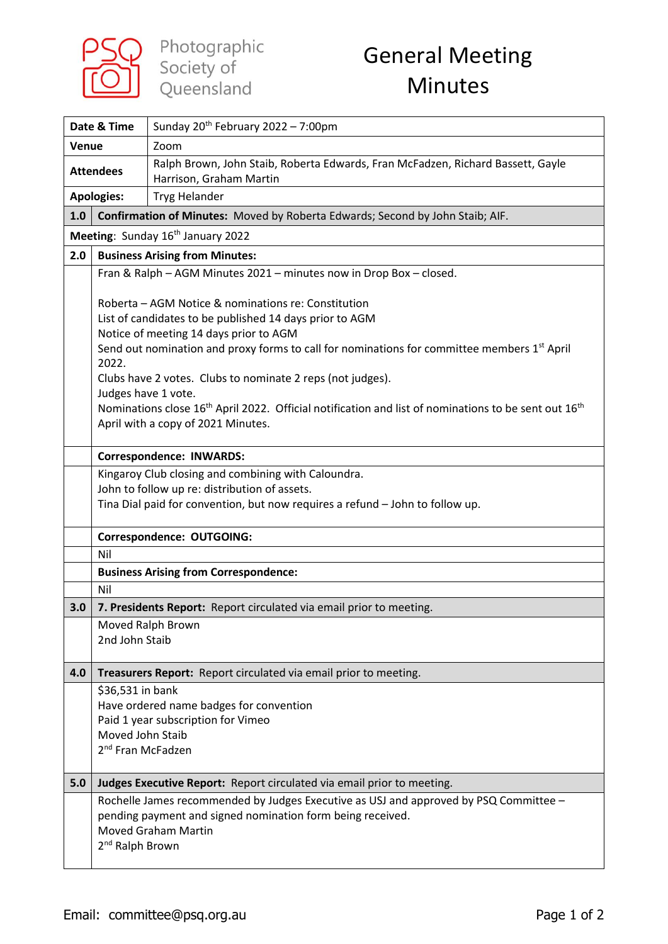

## General Meeting Minutes

| Date & Time                                                                          |                                                   | Sunday 20 <sup>th</sup> February 2022 - 7:00pm                                                                                                                                                                                                                                                                                                                                                                                                                                                          |  |
|--------------------------------------------------------------------------------------|---------------------------------------------------|---------------------------------------------------------------------------------------------------------------------------------------------------------------------------------------------------------------------------------------------------------------------------------------------------------------------------------------------------------------------------------------------------------------------------------------------------------------------------------------------------------|--|
| <b>Venue</b>                                                                         |                                                   | Zoom                                                                                                                                                                                                                                                                                                                                                                                                                                                                                                    |  |
| <b>Attendees</b>                                                                     |                                                   | Ralph Brown, John Staib, Roberta Edwards, Fran McFadzen, Richard Bassett, Gayle<br>Harrison, Graham Martin                                                                                                                                                                                                                                                                                                                                                                                              |  |
| <b>Apologies:</b>                                                                    |                                                   | <b>Tryg Helander</b>                                                                                                                                                                                                                                                                                                                                                                                                                                                                                    |  |
| Confirmation of Minutes: Moved by Roberta Edwards; Second by John Staib; AIF.<br>1.0 |                                                   |                                                                                                                                                                                                                                                                                                                                                                                                                                                                                                         |  |
| Meeting: Sunday 16 <sup>th</sup> January 2022                                        |                                                   |                                                                                                                                                                                                                                                                                                                                                                                                                                                                                                         |  |
| 2.0                                                                                  | <b>Business Arising from Minutes:</b>             |                                                                                                                                                                                                                                                                                                                                                                                                                                                                                                         |  |
|                                                                                      |                                                   | Fran & Ralph - AGM Minutes 2021 - minutes now in Drop Box - closed.                                                                                                                                                                                                                                                                                                                                                                                                                                     |  |
|                                                                                      | 2022.<br>Judges have 1 vote.                      | Roberta - AGM Notice & nominations re: Constitution<br>List of candidates to be published 14 days prior to AGM<br>Notice of meeting 14 days prior to AGM<br>Send out nomination and proxy forms to call for nominations for committee members 1 <sup>st</sup> April<br>Clubs have 2 votes. Clubs to nominate 2 reps (not judges).<br>Nominations close 16 <sup>th</sup> April 2022. Official notification and list of nominations to be sent out 16 <sup>th</sup><br>April with a copy of 2021 Minutes. |  |
|                                                                                      |                                                   | <b>Correspondence: INWARDS:</b>                                                                                                                                                                                                                                                                                                                                                                                                                                                                         |  |
|                                                                                      |                                                   | Kingaroy Club closing and combining with Caloundra.                                                                                                                                                                                                                                                                                                                                                                                                                                                     |  |
|                                                                                      |                                                   | John to follow up re: distribution of assets.<br>Tina Dial paid for convention, but now requires a refund - John to follow up.                                                                                                                                                                                                                                                                                                                                                                          |  |
|                                                                                      |                                                   |                                                                                                                                                                                                                                                                                                                                                                                                                                                                                                         |  |
|                                                                                      |                                                   | <b>Correspondence: OUTGOING:</b>                                                                                                                                                                                                                                                                                                                                                                                                                                                                        |  |
|                                                                                      | Nil                                               |                                                                                                                                                                                                                                                                                                                                                                                                                                                                                                         |  |
|                                                                                      | <b>Business Arising from Correspondence:</b>      |                                                                                                                                                                                                                                                                                                                                                                                                                                                                                                         |  |
|                                                                                      | Nil                                               |                                                                                                                                                                                                                                                                                                                                                                                                                                                                                                         |  |
| 3.0                                                                                  |                                                   | 7. Presidents Report: Report circulated via email prior to meeting.                                                                                                                                                                                                                                                                                                                                                                                                                                     |  |
|                                                                                      |                                                   | Moved Ralph Brown                                                                                                                                                                                                                                                                                                                                                                                                                                                                                       |  |
|                                                                                      | 2nd John Staib                                    |                                                                                                                                                                                                                                                                                                                                                                                                                                                                                                         |  |
| 4.0                                                                                  |                                                   | Treasurers Report: Report circulated via email prior to meeting.                                                                                                                                                                                                                                                                                                                                                                                                                                        |  |
|                                                                                      | \$36,531 in bank                                  |                                                                                                                                                                                                                                                                                                                                                                                                                                                                                                         |  |
|                                                                                      |                                                   | Have ordered name badges for convention                                                                                                                                                                                                                                                                                                                                                                                                                                                                 |  |
|                                                                                      |                                                   | Paid 1 year subscription for Vimeo                                                                                                                                                                                                                                                                                                                                                                                                                                                                      |  |
|                                                                                      | Moved John Staib<br>2 <sup>nd</sup> Fran McFadzen |                                                                                                                                                                                                                                                                                                                                                                                                                                                                                                         |  |
|                                                                                      |                                                   |                                                                                                                                                                                                                                                                                                                                                                                                                                                                                                         |  |
| 5.0                                                                                  |                                                   | Judges Executive Report: Report circulated via email prior to meeting.                                                                                                                                                                                                                                                                                                                                                                                                                                  |  |
|                                                                                      | 2 <sup>nd</sup> Ralph Brown                       | Rochelle James recommended by Judges Executive as USJ and approved by PSQ Committee -<br>pending payment and signed nomination form being received.<br><b>Moved Graham Martin</b>                                                                                                                                                                                                                                                                                                                       |  |